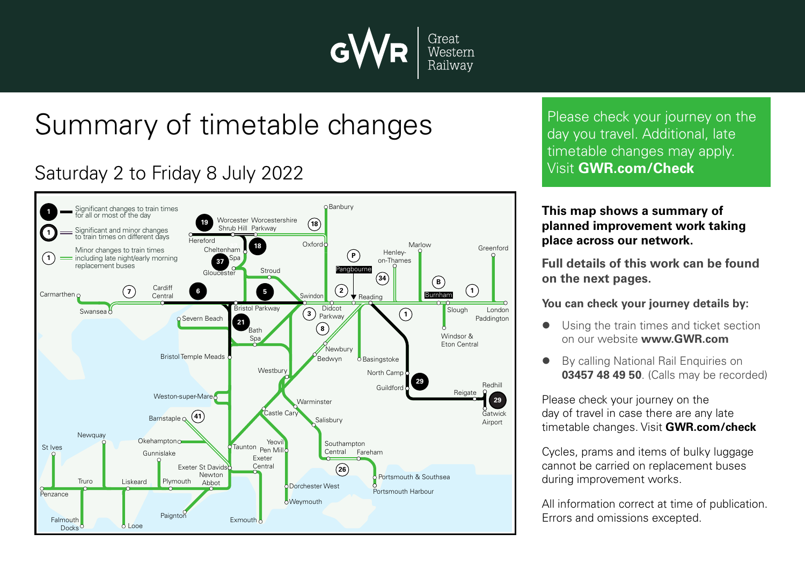

# Summary of timetable changes

### Saturday 2 to Friday 8 July 2022



Please check your journey on the day you travel. Additional, late timetable changes may apply. Visit **GWR.com/Check**

#### **This map shows a summary of planned improvement work taking place across our network.**

**Full details of this work can be found on the next pages.**

**You can check your journey details by:**

- Using the train times and ticket section on our website **www.GWR.com**
- By calling National Rail Enquiries on **03457 48 49 50**. (Calls may be recorded)

Please check your journey on the day of travel in case there are any late timetable changes. Visit **GWR.com/check**

Cycles, prams and items of bulky luggage cannot be carried on replacement buses during improvement works.

All information correct at time of publication. Errors and omissions excepted.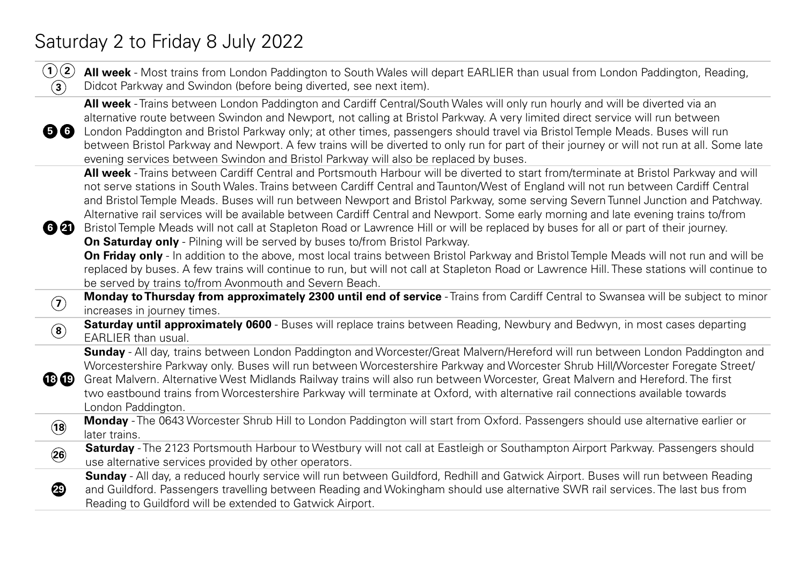## Saturday 2 to Friday 8 July 2022

| (1)(2)<br>$\bf(3)$         | All week - Most trains from London Paddington to South Wales will depart EARLIER than usual from London Paddington, Reading,<br>Didcot Parkway and Swindon (before being diverted, see next item).                                                                                                                                                                                                                                                                                                                                                                                                                                                                                                                                                                                  |
|----------------------------|-------------------------------------------------------------------------------------------------------------------------------------------------------------------------------------------------------------------------------------------------------------------------------------------------------------------------------------------------------------------------------------------------------------------------------------------------------------------------------------------------------------------------------------------------------------------------------------------------------------------------------------------------------------------------------------------------------------------------------------------------------------------------------------|
| 56                         | All week - Trains between London Paddington and Cardiff Central/South Wales will only run hourly and will be diverted via an<br>alternative route between Swindon and Newport, not calling at Bristol Parkway. A very limited direct service will run between<br>London Paddington and Bristol Parkway only; at other times, passengers should travel via Bristol Temple Meads. Buses will run<br>between Bristol Parkway and Newport. A few trains will be diverted to only run for part of their journey or will not run at all. Some late<br>evening services between Swindon and Bristol Parkway will also be replaced by buses.                                                                                                                                                |
| 60                         | All week - Trains between Cardiff Central and Portsmouth Harbour will be diverted to start from/terminate at Bristol Parkway and will<br>not serve stations in South Wales. Trains between Cardiff Central and Taunton/West of England will not run between Cardiff Central<br>and Bristol Temple Meads. Buses will run between Newport and Bristol Parkway, some serving Severn Tunnel Junction and Patchway.<br>Alternative rail services will be available between Cardiff Central and Newport. Some early morning and late evening trains to/from<br>Bristol Temple Meads will not call at Stapleton Road or Lawrence Hill or will be replaced by buses for all or part of their journey.<br><b>On Saturday only</b> - Pilning will be served by buses to/from Bristol Parkway. |
|                            | On Friday only - In addition to the above, most local trains between Bristol Parkway and Bristol Temple Meads will not run and will be<br>replaced by buses. A few trains will continue to run, but will not call at Stapleton Road or Lawrence Hill. These stations will continue to<br>be served by trains to/from Avonmouth and Severn Beach.                                                                                                                                                                                                                                                                                                                                                                                                                                    |
| $\left( \mathbf{7}\right)$ | Monday to Thursday from approximately 2300 until end of service - Trains from Cardiff Central to Swansea will be subject to minor<br>increases in journey times.                                                                                                                                                                                                                                                                                                                                                                                                                                                                                                                                                                                                                    |
| $\left( \mathbf{8}\right)$ | Saturday until approximately 0600 - Buses will replace trains between Reading, Newbury and Bedwyn, in most cases departing<br><b>EARLIER</b> than usual.                                                                                                                                                                                                                                                                                                                                                                                                                                                                                                                                                                                                                            |
| $\mathbf{B} \mathbf{D}$    | Sunday - All day, trains between London Paddington and Worcester/Great Malvern/Hereford will run between London Paddington and<br>Worcestershire Parkway only. Buses will run between Worcestershire Parkway and Worcester Shrub Hill/Worcester Foregate Street/<br>Great Malvern. Alternative West Midlands Railway trains will also run between Worcester, Great Malvern and Hereford. The first<br>two eastbound trains from Worcestershire Parkway will terminate at Oxford, with alternative rail connections available towards<br>London Paddington.                                                                                                                                                                                                                          |
| (18)                       | Monday - The 0643 Worcester Shrub Hill to London Paddington will start from Oxford. Passengers should use alternative earlier or<br>later trains.                                                                                                                                                                                                                                                                                                                                                                                                                                                                                                                                                                                                                                   |
| $\ddot{\mathbf{26}}$       | Saturday - The 2123 Portsmouth Harbour to Westbury will not call at Eastleigh or Southampton Airport Parkway. Passengers should<br>use alternative services provided by other operators.                                                                                                                                                                                                                                                                                                                                                                                                                                                                                                                                                                                            |
| 49                         | Sunday - All day, a reduced hourly service will run between Guildford, Redhill and Gatwick Airport. Buses will run between Reading<br>and Guildford. Passengers travelling between Reading and Wokingham should use alternative SWR rail services. The last bus from<br>Reading to Guildford will be extended to Gatwick Airport.                                                                                                                                                                                                                                                                                                                                                                                                                                                   |
|                            |                                                                                                                                                                                                                                                                                                                                                                                                                                                                                                                                                                                                                                                                                                                                                                                     |